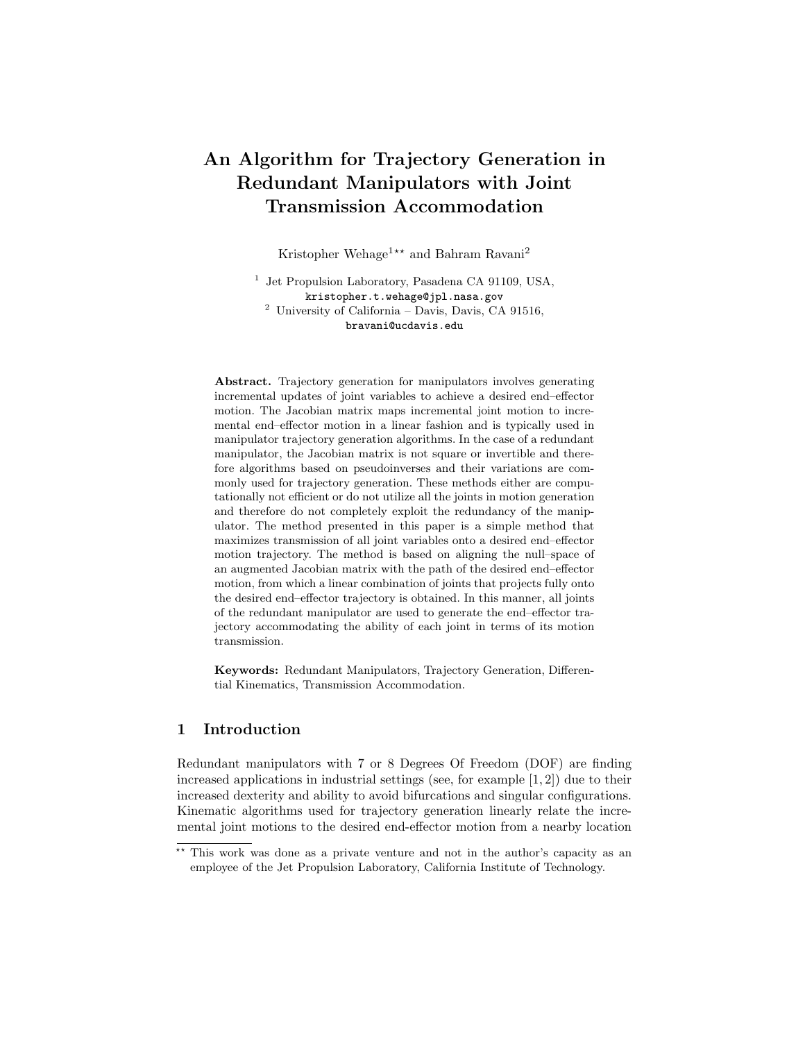# An Algorithm for Trajectory Generation in Redundant Manipulators with Joint Transmission Accommodation

Kristopher Wehage<sup>1\*\*</sup> and Bahram Ravani<sup>2</sup>

<sup>1</sup> Jet Propulsion Laboratory, Pasadena CA 91109, USA, kristopher.t.wehage@jpl.nasa.gov  $^{\rm 2}$  University of California – Davis, Davis, CA 91516, bravani@ucdavis.edu

Abstract. Trajectory generation for manipulators involves generating incremental updates of joint variables to achieve a desired end–effector motion. The Jacobian matrix maps incremental joint motion to incremental end–effector motion in a linear fashion and is typically used in manipulator trajectory generation algorithms. In the case of a redundant manipulator, the Jacobian matrix is not square or invertible and therefore algorithms based on pseudoinverses and their variations are commonly used for trajectory generation. These methods either are computationally not efficient or do not utilize all the joints in motion generation and therefore do not completely exploit the redundancy of the manipulator. The method presented in this paper is a simple method that maximizes transmission of all joint variables onto a desired end–effector motion trajectory. The method is based on aligning the null–space of an augmented Jacobian matrix with the path of the desired end–effector motion, from which a linear combination of joints that projects fully onto the desired end–effector trajectory is obtained. In this manner, all joints of the redundant manipulator are used to generate the end–effector trajectory accommodating the ability of each joint in terms of its motion transmission.

Keywords: Redundant Manipulators, Trajectory Generation, Differential Kinematics, Transmission Accommodation.

## 1 Introduction

Redundant manipulators with 7 or 8 Degrees Of Freedom (DOF) are finding increased applications in industrial settings (see, for example [1, 2]) due to their increased dexterity and ability to avoid bifurcations and singular configurations. Kinematic algorithms used for trajectory generation linearly relate the incremental joint motions to the desired end-effector motion from a nearby location

<sup>\*\*</sup> This work was done as a private venture and not in the author's capacity as an employee of the Jet Propulsion Laboratory, California Institute of Technology.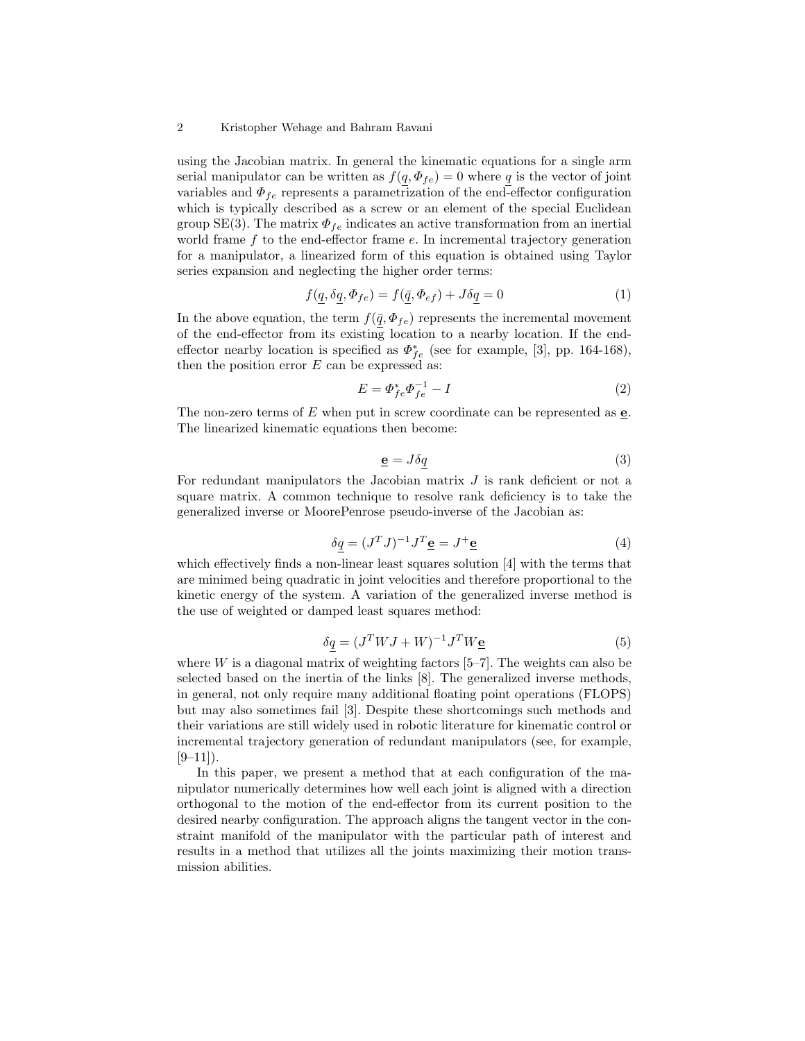#### 2 Kristopher Wehage and Bahram Ravani

using the Jacobian matrix. In general the kinematic equations for a single arm serial manipulator can be written as  $f(q, \Phi_{fe}) = 0$  where q is the vector of joint variables and  $\Phi_{fe}$  represents a parametrization of the end-effector configuration which is typically described as a screw or an element of the special Euclidean group SE(3). The matrix  $\Phi_{fe}$  indicates an active transformation from an inertial world frame  $f$  to the end-effector frame  $e$ . In incremental trajectory generation for a manipulator, a linearized form of this equation is obtained using Taylor series expansion and neglecting the higher order terms:

$$
f(q, \delta q, \Phi_{fe}) = f(\bar{q}, \Phi_{ef}) + J\delta q = 0
$$
\n(1)

In the above equation, the term  $f(\underline{\bar{q}}, \Phi_{fe})$  represents the incremental movement of the end-effector from its existing location to a nearby location. If the endeffector nearby location is specified as  $\Phi_{fe}^{*}$  (see for example, [3], pp. 164-168), then the position error  $E$  can be expressed as:

$$
E = \Phi_{fe}^* \Phi_{fe}^{-1} - I \tag{2}
$$

The non-zero terms of  $E$  when put in screw coordinate can be represented as  $\underline{e}$ . The linearized kinematic equations then become:

$$
\mathbf{e} = J\delta q \tag{3}
$$

For redundant manipulators the Jacobian matrix J is rank deficient or not a square matrix. A common technique to resolve rank deficiency is to take the generalized inverse or MoorePenrose pseudo-inverse of the Jacobian as:

$$
\delta q = (J^T J)^{-1} J^T \underline{\mathbf{e}} = J^+ \underline{\mathbf{e}} \tag{4}
$$

which effectively finds a non-linear least squares solution [4] with the terms that are minimed being quadratic in joint velocities and therefore proportional to the kinetic energy of the system. A variation of the generalized inverse method is the use of weighted or damped least squares method:

$$
\delta q = (J^T W J + W)^{-1} J^T W \underline{\mathbf{e}} \tag{5}
$$

where  $W$  is a diagonal matrix of weighting factors  $[5-7]$ . The weights can also be selected based on the inertia of the links [8]. The generalized inverse methods, in general, not only require many additional floating point operations (FLOPS) but may also sometimes fail [3]. Despite these shortcomings such methods and their variations are still widely used in robotic literature for kinematic control or incremental trajectory generation of redundant manipulators (see, for example,  $[9-11]$ ).

In this paper, we present a method that at each configuration of the manipulator numerically determines how well each joint is aligned with a direction orthogonal to the motion of the end-effector from its current position to the desired nearby configuration. The approach aligns the tangent vector in the constraint manifold of the manipulator with the particular path of interest and results in a method that utilizes all the joints maximizing their motion transmission abilities.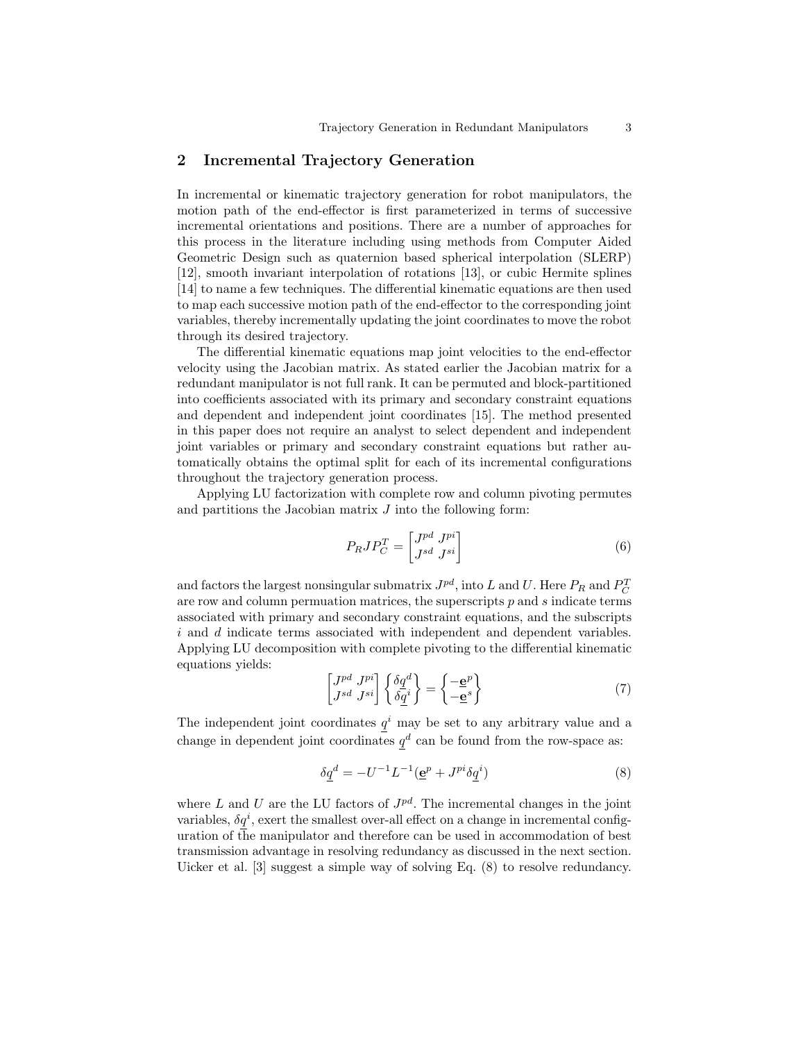## 2 Incremental Trajectory Generation

In incremental or kinematic trajectory generation for robot manipulators, the motion path of the end-effector is first parameterized in terms of successive incremental orientations and positions. There are a number of approaches for this process in the literature including using methods from Computer Aided Geometric Design such as quaternion based spherical interpolation (SLERP) [12], smooth invariant interpolation of rotations [13], or cubic Hermite splines [14] to name a few techniques. The differential kinematic equations are then used to map each successive motion path of the end-effector to the corresponding joint variables, thereby incrementally updating the joint coordinates to move the robot through its desired trajectory.

The differential kinematic equations map joint velocities to the end-effector velocity using the Jacobian matrix. As stated earlier the Jacobian matrix for a redundant manipulator is not full rank. It can be permuted and block-partitioned into coefficients associated with its primary and secondary constraint equations and dependent and independent joint coordinates [15]. The method presented in this paper does not require an analyst to select dependent and independent joint variables or primary and secondary constraint equations but rather automatically obtains the optimal split for each of its incremental configurations throughout the trajectory generation process.

Applying LU factorization with complete row and column pivoting permutes and partitions the Jacobian matrix  $J$  into the following form:

$$
P_R J P_C^T = \begin{bmatrix} J^{pd} & J^{pi} \\ J^{sd} & J^{si} \end{bmatrix} \tag{6}
$$

and factors the largest nonsingular submatrix  $J^{pd}$ , into L and U. Here  $P_R$  and  $P_C^T$ are row and column permuation matrices, the superscripts  $p$  and  $s$  indicate terms associated with primary and secondary constraint equations, and the subscripts i and d indicate terms associated with independent and dependent variables. Applying LU decomposition with complete pivoting to the differential kinematic equations yields:

$$
\begin{bmatrix} J^{pd} & J^{pi} \\ J^{sd} & J^{si} \end{bmatrix} \begin{Bmatrix} \delta \underline{q}^d \\ \delta \underline{q}^i \end{Bmatrix} = \begin{Bmatrix} -\underline{\mathbf{e}}^p \\ -\underline{\mathbf{e}}^s \end{Bmatrix}
$$
 (7)

The independent joint coordinates  $q<sup>i</sup>$  may be set to any arbitrary value and a change in dependent joint coordinates  $q^d$  can be found from the row-space as:

$$
\delta q^d = -U^{-1}L^{-1}(\underline{\mathbf{e}}^p + J^{pi}\delta q^i)
$$
\n<sup>(8)</sup>

where  $L$  and  $U$  are the LU factors of  $J^{pd}$ . The incremental changes in the joint variables,  $\delta q^i$ , exert the smallest over-all effect on a change in incremental configuration of the manipulator and therefore can be used in accommodation of best transmission advantage in resolving redundancy as discussed in the next section. Uicker et al. [3] suggest a simple way of solving Eq. (8) to resolve redundancy.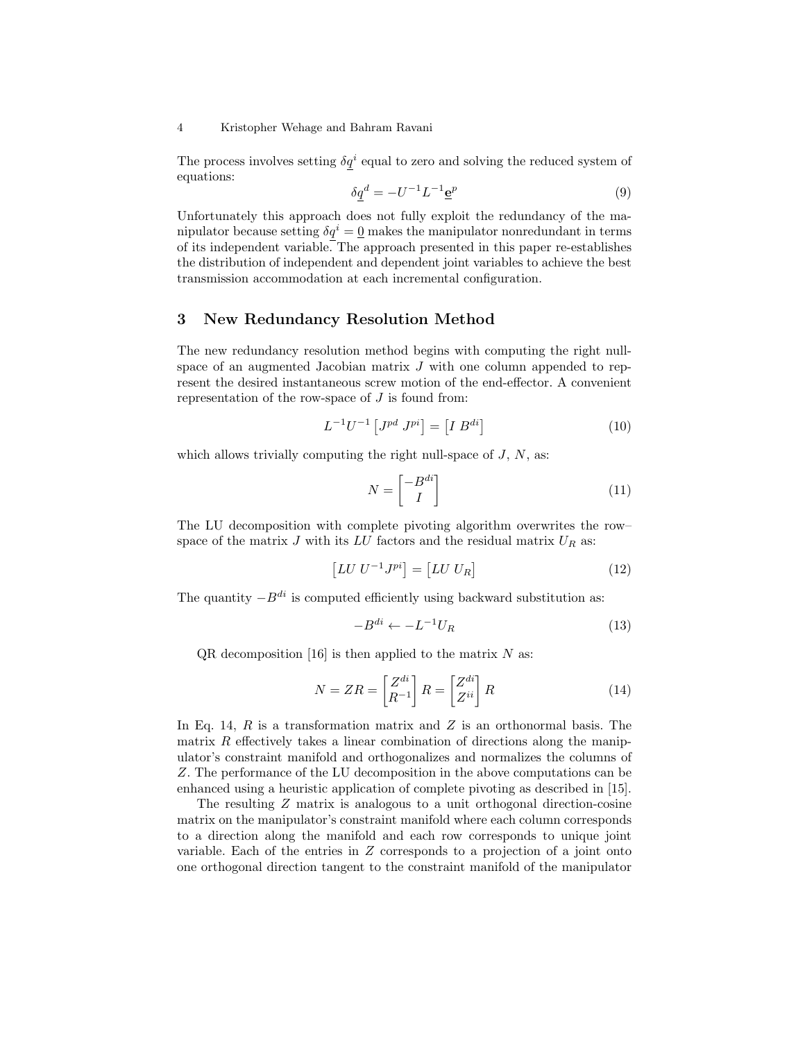#### 4 Kristopher Wehage and Bahram Ravani

The process involves setting  $\delta q^i$  equal to zero and solving the reduced system of equations:

$$
\delta \underline{q}^d = -U^{-1}L^{-1}\underline{\mathbf{e}}^p \tag{9}
$$

Unfortunately this approach does not fully exploit the redundancy of the manipulator because setting  $\delta q^i = \underline{0}$  makes the manipulator nonredundant in terms of its independent variable. The approach presented in this paper re-establishes the distribution of independent and dependent joint variables to achieve the best transmission accommodation at each incremental configuration.

## 3 New Redundancy Resolution Method

The new redundancy resolution method begins with computing the right nullspace of an augmented Jacobian matrix  $J$  with one column appended to represent the desired instantaneous screw motion of the end-effector. A convenient representation of the row-space of  $J$  is found from:

$$
L^{-1}U^{-1}\left[J^{pd}\ J^{pi}\right] = \left[I\ B^{di}\right] \tag{10}
$$

which allows trivially computing the right null-space of  $J, N$ , as:

$$
N = \begin{bmatrix} -B^{di} \\ I \end{bmatrix} \tag{11}
$$

The LU decomposition with complete pivoting algorithm overwrites the row– space of the matrix  $J$  with its  $LU$  factors and the residual matrix  $U_R$  as:

$$
\[LU\ U^{-1}J^{pi}\] = \[LU\ U_R]\tag{12}
$$

The quantity  $-B^{di}$  is computed efficiently using backward substitution as:

$$
-B^{di} \leftarrow -L^{-1}U_R \tag{13}
$$

 $QR$  decomposition [16] is then applied to the matrix N as:

$$
N = ZR = \begin{bmatrix} Z^{di} \\ R^{-1} \end{bmatrix} R = \begin{bmatrix} Z^{di} \\ Z^{ii} \end{bmatrix} R \tag{14}
$$

In Eq. 14,  $R$  is a transformation matrix and  $Z$  is an orthonormal basis. The matrix  $R$  effectively takes a linear combination of directions along the manipulator's constraint manifold and orthogonalizes and normalizes the columns of Z. The performance of the LU decomposition in the above computations can be enhanced using a heuristic application of complete pivoting as described in [15].

The resulting Z matrix is analogous to a unit orthogonal direction-cosine matrix on the manipulator's constraint manifold where each column corresponds to a direction along the manifold and each row corresponds to unique joint variable. Each of the entries in Z corresponds to a projection of a joint onto one orthogonal direction tangent to the constraint manifold of the manipulator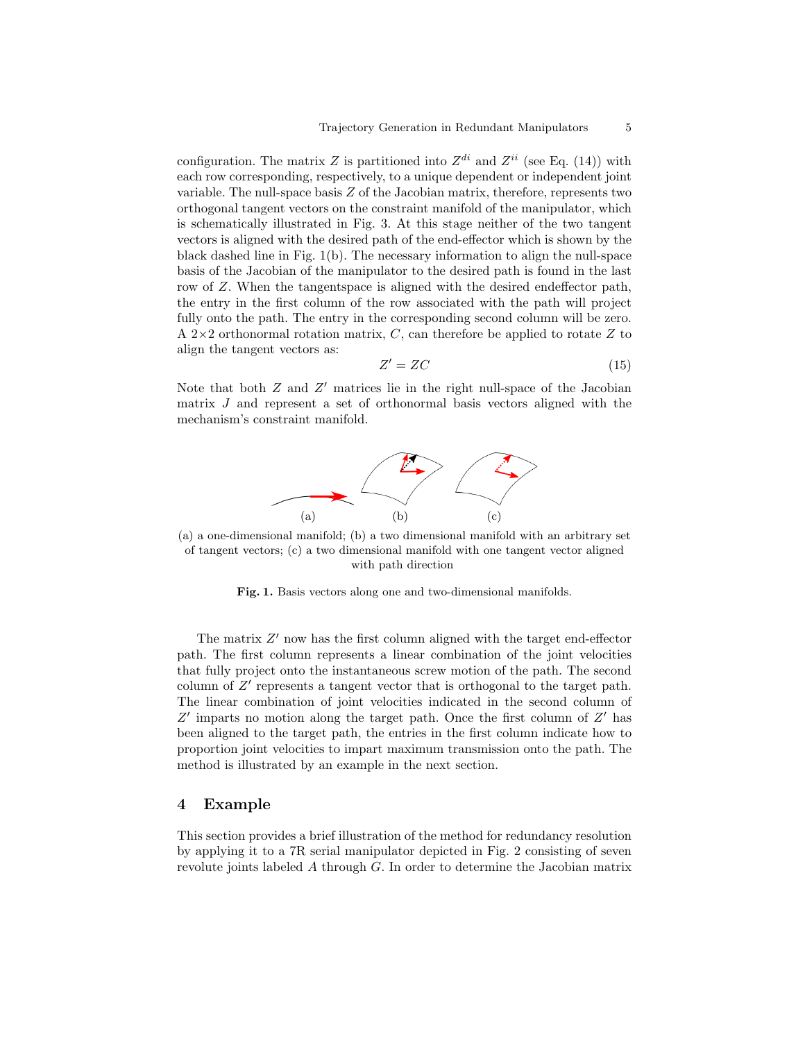configuration. The matrix Z is partitioned into  $Z^{di}$  and  $Z^{ii}$  (see Eq. (14)) with each row corresponding, respectively, to a unique dependent or independent joint variable. The null-space basis  $Z$  of the Jacobian matrix, therefore, represents two orthogonal tangent vectors on the constraint manifold of the manipulator, which is schematically illustrated in Fig. 3. At this stage neither of the two tangent vectors is aligned with the desired path of the end-effector which is shown by the black dashed line in Fig. 1(b). The necessary information to align the null-space basis of the Jacobian of the manipulator to the desired path is found in the last row of Z. When the tangentspace is aligned with the desired endeffector path, the entry in the first column of the row associated with the path will project fully onto the path. The entry in the corresponding second column will be zero. A 2 $\times$ 2 orthonormal rotation matrix, C, can therefore be applied to rotate Z to align the tangent vectors as:

$$
Z' = ZC \tag{15}
$$

Note that both  $Z$  and  $Z'$  matrices lie in the right null-space of the Jacobian matrix J and represent a set of orthonormal basis vectors aligned with the mechanism's constraint manifold.



(a) a one-dimensional manifold; (b) a two dimensional manifold with an arbitrary set of tangent vectors; (c) a two dimensional manifold with one tangent vector aligned with path direction

Fig. 1. Basis vectors along one and two-dimensional manifolds.

The matrix  $Z'$  now has the first column aligned with the target end-effector path. The first column represents a linear combination of the joint velocities that fully project onto the instantaneous screw motion of the path. The second column of  $Z'$  represents a tangent vector that is orthogonal to the target path. The linear combination of joint velocities indicated in the second column of  $Z'$  imparts no motion along the target path. Once the first column of  $Z'$  has been aligned to the target path, the entries in the first column indicate how to proportion joint velocities to impart maximum transmission onto the path. The method is illustrated by an example in the next section.

#### 4 Example

This section provides a brief illustration of the method for redundancy resolution by applying it to a 7R serial manipulator depicted in Fig. 2 consisting of seven revolute joints labeled  $A$  through  $G$ . In order to determine the Jacobian matrix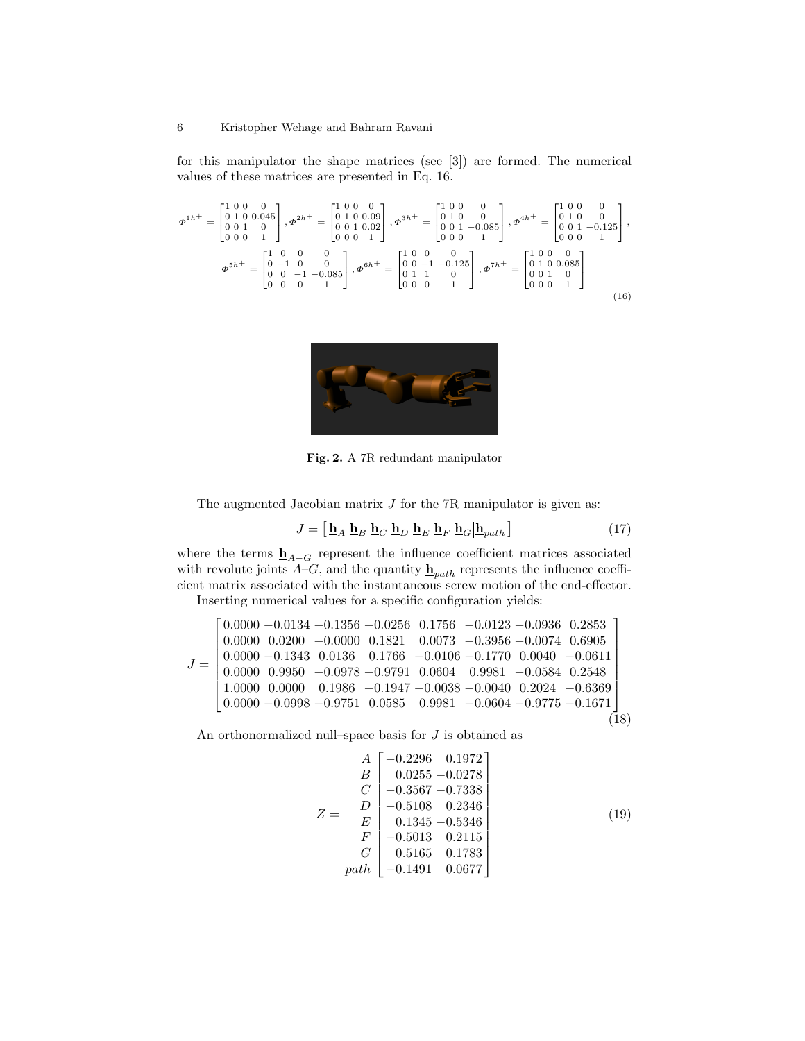for this manipulator the shape matrices (see [3]) are formed. The numerical values of these matrices are presented in Eq. 16.

$$
\Phi^{1h^{+}} = \begin{bmatrix} 1 & 0 & 0 & 0 \\ 0 & 1 & 0 & 0.045 \\ 0 & 0 & 1 & 0 \\ 0 & 0 & 0 & 1 \end{bmatrix}, \Phi^{2h^{+}} = \begin{bmatrix} 1 & 0 & 0 & 0 \\ 0 & 1 & 0 & 0.09 \\ 0 & 0 & 1 & 0.02 \\ 0 & 0 & 0 & 1 \end{bmatrix}, \Phi^{3h^{+}} = \begin{bmatrix} 1 & 0 & 0 & 0 \\ 0 & 1 & 0 & 0 \\ 0 & 0 & 1 & -0.085 \\ 0 & 0 & 0 & 1 \end{bmatrix}, \Phi^{4h^{+}} = \begin{bmatrix} 1 & 0 & 0 & 0 \\ 0 & 1 & 0 & 0 \\ 0 & 0 & 1 & 0 \\ 0 & 0 & 0 & 1 \end{bmatrix},
$$

$$
\Phi^{5h^{+}} = \begin{bmatrix} 1 & 0 & 0 & 0 \\ 0 & -1 & 0 & 0 \\ 0 & 0 & -1 & -0.085 \\ 0 & 0 & 0 & 1 \end{bmatrix}, \Phi^{6h^{+}} = \begin{bmatrix} 1 & 0 & 0 & 0 & 0 \\ 0 & 0 & -1 & -0.125 \\ 0 & 1 & 1 & 0 \\ 0 & 0 & 0 & 1 \end{bmatrix}, \Phi^{7h^{+}} = \begin{bmatrix} 1 & 0 & 0 & 0 \\ 0 & 1 & 0 & 0.085 \\ 0 & 0 & 1 & 0 \\ 0 & 0 & 0 & 1 \end{bmatrix}
$$
(16)



Fig. 2. A 7R redundant manipulator

The augmented Jacobian matrix  $J$  for the 7R manipulator is given as:

$$
J = \left[\underline{\mathbf{h}}_A \ \underline{\mathbf{h}}_B \ \underline{\mathbf{h}}_C \ \underline{\mathbf{h}}_D \ \underline{\mathbf{h}}_E \ \underline{\mathbf{h}}_F \ \underline{\mathbf{h}}_G \middle| \underline{\mathbf{h}}_{path}\right] \tag{17}
$$

where the terms  $\underline{\mathbf{h}}_{A-G}$  represent the influence coefficient matrices associated with revolute joints  $\overrightarrow{A}-G$ , and the quantity  $\underline{\mathbf{h}}_{path}$  represents the influence coefficient matrix associated with the instantaneous screw motion of the end-effector. Inserting numerical values for a specific configuration yields:

$$
J = \begin{bmatrix} 0.0000 & -0.0134 & -0.1356 & -0.0256 & 0.1756 & -0.0123 & -0.0936 & 0.2853 \\ 0.0000 & 0.0200 & -0.0000 & 0.1821 & 0.0073 & -0.3956 & -0.0074 & 0.6905 \\ 0.0000 & -0.1343 & 0.0136 & 0.1766 & -0.0106 & -0.1770 & 0.0040 & -0.0611 \\ 0.0000 & 0.9950 & -0.0978 & -0.9791 & 0.0604 & 0.9981 & -0.0584 & 0.2548 \\ 1.0000 & 0.0000 & 0.1986 & -0.1947 & -0.0038 & -0.0040 & 0.2024 & -0.6369 \\ 0.0000 & -0.0998 & -0.9751 & 0.0585 & 0.9981 & -0.0604 & -0.9775 & -0.1671 \\ \end{bmatrix} (18)
$$

An orthonormalized null–space basis for J is obtained as

$$
Z = \begin{pmatrix}\nA & -0.2296 & 0.1972 \\
B & 0.0255 & -0.0278 \\
C & -0.3567 & -0.7338 \\
D & -0.5108 & 0.2346 \\
E & 0.1345 & -0.5346 \\
F & -0.5013 & 0.2115 \\
G & 0.5165 & 0.1783 \\
path & -0.1491 & 0.0677\n\end{pmatrix}
$$
\n(19)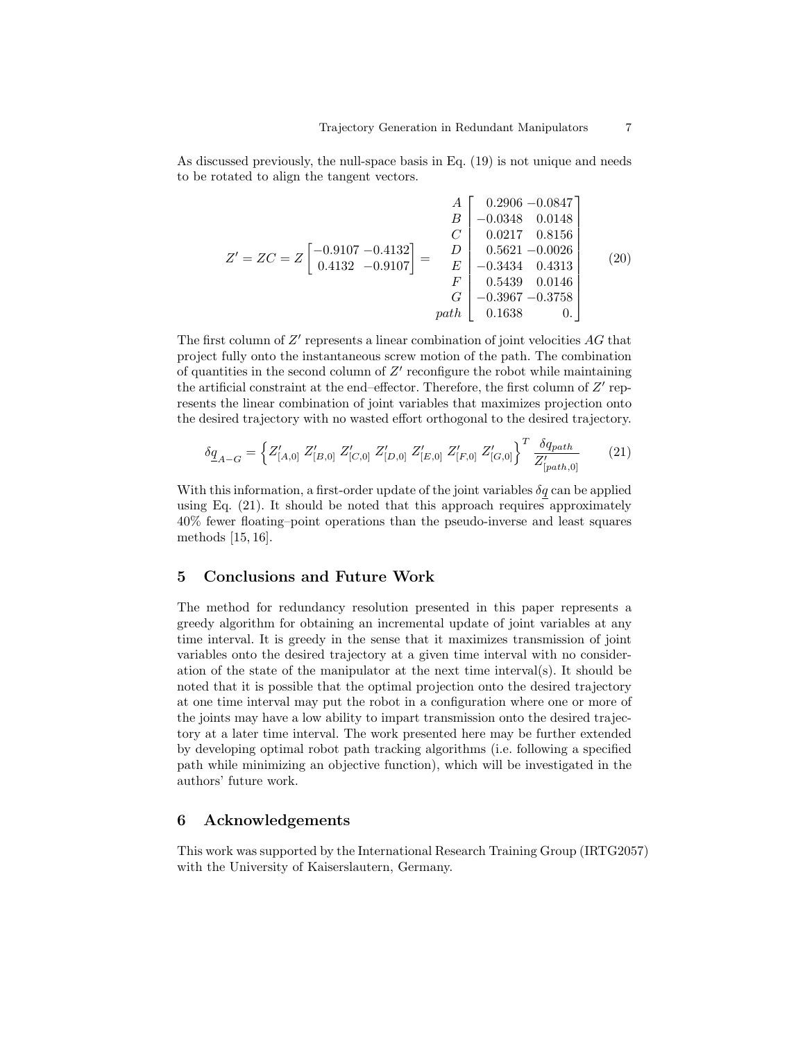As discussed previously, the null-space basis in Eq. (19) is not unique and needs to be rotated to align the tangent vectors.

$$
Z' = ZC = Z \begin{bmatrix} -0.9107 & -0.4132 \\ 0.4132 & -0.9107 \end{bmatrix} = \begin{bmatrix} A \\ B \\ C \\ D \\ E \\ F \\ G \\ D \end{bmatrix} \begin{bmatrix} 0.2906 & -0.0847 \\ -0.0348 & 0.0148 \\ 0.0217 & 0.8156 \\ 0.5621 & -0.0026 \\ -0.3434 & 0.4313 \\ 0.5439 & 0.0146 \\ -0.3967 & -0.3758 \\ 0.1638 & 0. \end{bmatrix}
$$
(20)

The first column of  $Z'$  represents a linear combination of joint velocities  $AG$  that project fully onto the instantaneous screw motion of the path. The combination of quantities in the second column of  $Z'$  reconfigure the robot while maintaining the artificial constraint at the end-effector. Therefore, the first column of  $Z'$  represents the linear combination of joint variables that maximizes projection onto the desired trajectory with no wasted effort orthogonal to the desired trajectory.

$$
\delta \underline{q}_{A-G} = \left\{ Z'_{[A,0]} \ Z'_{[B,0]} \ Z'_{[C,0]} \ Z'_{[D,0]} \ Z'_{[E,0]} \ Z'_{[F,0]} \ Z'_{[G,0]} \right\}^T \frac{\delta q_{path}}{Z'_{[path,0]}}
$$
(21)

With this information, a first-order update of the joint variables  $\delta q$  can be applied using Eq. (21). It should be noted that this approach requires approximately 40% fewer floating–point operations than the pseudo-inverse and least squares methods [15, 16].

#### 5 Conclusions and Future Work

The method for redundancy resolution presented in this paper represents a greedy algorithm for obtaining an incremental update of joint variables at any time interval. It is greedy in the sense that it maximizes transmission of joint variables onto the desired trajectory at a given time interval with no consideration of the state of the manipulator at the next time interval(s). It should be noted that it is possible that the optimal projection onto the desired trajectory at one time interval may put the robot in a configuration where one or more of the joints may have a low ability to impart transmission onto the desired trajectory at a later time interval. The work presented here may be further extended by developing optimal robot path tracking algorithms (i.e. following a specified path while minimizing an objective function), which will be investigated in the authors' future work.

## 6 Acknowledgements

This work was supported by the International Research Training Group (IRTG2057) with the University of Kaiserslautern, Germany.